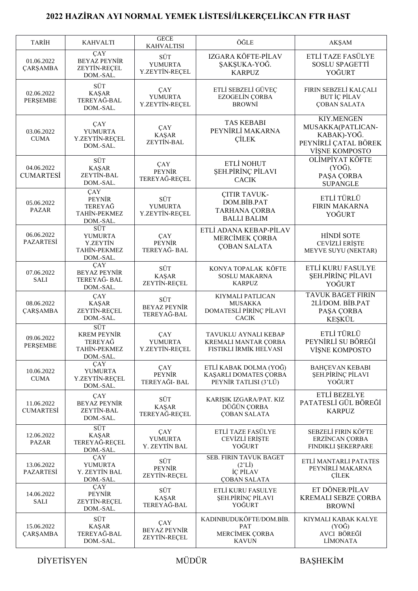## **2022 HAZİRAN AYI NORMAL YEMEK LİSTESİ/İLKERÇELİKCAN FTR HAST**

| <b>TARIH</b>                   | <b>KAHVALTI</b>                                                              | <b>GECE</b>                                                      | ÖĞLE                                                                             | AKŞAM                                                                                           |
|--------------------------------|------------------------------------------------------------------------------|------------------------------------------------------------------|----------------------------------------------------------------------------------|-------------------------------------------------------------------------------------------------|
| 01.06.2022<br><b>ÇARŞAMBA</b>  | ÇAY<br><b>BEYAZ PEYNİR</b><br>ZEYTİN-REÇEL                                   | <b>KAHVALTISI</b><br>SÜT<br>YUMURTA                              | IZGARA KÖFTE-PİLAV<br>ŞAKŞUKA-YOĞ.                                               | ETLİ TAZE FASÜLYE<br>SOSLU SPAGETTİ                                                             |
| 02.06.2022<br>PERŞEMBE         | $DOM.-SAL$<br>SÜT<br><b>KAŞAR</b><br>TEREYAĞ-BAL<br>DOM.-SAL.                | Y.ZEYTİN-REÇEL<br><b>CAY</b><br><b>YUMURTA</b><br>Y.ZEYTİN-REÇEL | <b>KARPUZ</b><br>ETLİ SEBZELİ GÜVEÇ<br><b>EZOGELÍN ÇORBA</b><br><b>BROWNİ</b>    | YOĞURT<br>FIRIN SEBZELİ KALÇALI<br><b>BUT İÇ PİLAV</b><br><b>ÇOBAN SALATA</b>                   |
| 03.06.2022<br><b>CUMA</b>      | ÇAY<br><b>YUMURTA</b><br>Y.ZEYTİN-REÇEL<br>DOM.-SAL.                         | ÇAY<br><b>KAŞAR</b><br>ZEYTİN-BAL                                | <b>TAS KEBABI</b><br>PEYNİRLİ MAKARNA<br><b>CİLEK</b>                            | <b>KIY.MENGEN</b><br>MUSAKKA(PATLICAN-<br>KABAK)-YOĞ.<br>PEYNİRLİ ÇATAL BÖREK<br>VİŞNE KOMPOSTO |
| 04.06.2022<br><b>CUMARTESİ</b> | SÜT<br><b>KAŞAR</b><br>ZEYTİN-BAL<br>DOM.-SAL.                               | <b>CAY</b><br><b>PEYNİR</b><br>TEREYAĞ-REÇEL                     | ETLİ NOHUT<br>ŞEH.PİRİNÇ PİLAVI<br><b>CACIK</b>                                  | OLİMPİYAT KÖFTE<br>$(YO\breve{G})$ .<br>PAŞA ÇORBA<br><b>SUPANGLE</b>                           |
| 05.06.2022<br><b>PAZAR</b>     | $\overline{CAY}$<br><b>PEYNİR</b><br>TEREYAĞ<br>TAHİN-PEKMEZ<br>DOM.-SAL.    | SÜT<br><b>YUMURTA</b><br>Y.ZEYTİN-REÇEL                          | <b>CITIR TAVUK-</b><br>DOM.BİB.PAT<br><b>TARHANA ÇORBA</b><br><b>BALLI BALIM</b> | ETLİ TÜRLÜ<br><b>FIRIN MAKARNA</b><br>YOĞURT                                                    |
| 06.06.2022<br><b>PAZARTESI</b> | SÜT<br><b>YUMURTA</b><br><b>Y.ZEYTİN</b><br><b>TAHİN-PEKMEZ</b><br>DOM.-SAL. | ÇAY<br><b>PEYNİR</b><br>TEREYAĞ- BAL                             | ETLİ ADANA KEBAP-PİLAV<br>MERCİMEK ÇORBA<br><b>COBAN SALATA</b>                  | <b>HİNDİ SOTE</b><br>CEVİZLİ ERİŞTE<br>MEYVE SUYU (NEKTAR)                                      |
| 07.06.2022<br><b>SALI</b>      | ÇAY<br><b>BEYAZ PEYNİR</b><br>TEREYAĞ- BAL<br>DOM.-SAL.                      | SÜT<br><b>KAŞAR</b><br>ZEYTİN-REÇEL                              | KONYA TOPALAK KÖFTE<br><b>SOSLU MAKARNA</b><br><b>KARPUZ</b>                     | ETLİ KURU FASULYE<br>ŞEH.PİRİNÇ PİLAVI<br>YOĞURT                                                |
| 08.06.2022<br><b>ÇARŞAMBA</b>  | ÇAY<br><b>KAŞAR</b><br>ZEYTİN-REÇEL<br>DOM.-SAL.                             | SÜT<br><b>BEYAZ PEYNİR</b><br>TEREYAĞ-BAL                        | KIYMALI PATLICAN<br><b>MUSAKKA</b><br>DOMATESLİ PİRİNÇ PİLAVI<br><b>CACIK</b>    | <b>TAVUK BAGET FIRIN</b><br>2Lİ/DOM. BİB.PAT<br>PAŞA ÇORBA<br>KEŞKÜL                            |
| 09.06.2022<br>PERŞEMBE         | SÜT<br><b>KREM PEYNİR</b><br>TEREYAĞ<br>TAHIN-PEKMEZ<br>DOM.-SAL.            | ÇAY<br><b>YUMURTA</b><br>Y.ZEYTIN-RECEL                          | TAVUKLU AYNALI KEBAP<br>KREMALI MANTAR ÇORBA<br>FISTIKLI IRMIK HELVASI           | ETLİ TÜRLÜ<br>PEYNİRLİ SU BÖREĞİ<br>VİŞNE KOMPOSTO                                              |
| 10.06.2022<br><b>CUMA</b>      | ÇAY<br><b>YUMURTA</b><br>Y.ZEYTİN-REÇEL<br>DOM.-SAL.                         | ÇAY<br><b>PEYNİR</b><br>TEREYAĞI- BAL                            | ETLİ KABAK DOLMA (YOĞ)<br>KAŞARLI DOMATES ÇORBA<br>PEYNİR TATLISI (3'LÜ)         | <b>BAHÇEVAN KEBABI</b><br>ŞEH.PİRİNÇ PİLAVI<br>YOĞURT                                           |
| 11.06.2022<br><b>CUMARTESI</b> | ÇAY<br><b>BEYAZ PEYNİR</b><br>ZEYTİN-BAL<br>DOM.-SAL.                        | SÜT<br>KAŞAR<br>TEREYAĞ-REÇEL                                    | KARIŞIK IZGARA/PAT. KIZ<br>DÜĞÜN ÇORBA<br><b>COBAN SALATA</b>                    | ETLİ BEZELYE<br>PATATESLİ GÜL BÖREĞİ<br><b>KARPUZ</b>                                           |
| 12.06.2022<br><b>PAZAR</b>     | SÜT<br><b>KAŞAR</b><br>TEREYAĞ-REÇEL<br>DOM.-SAL.                            | ÇAY<br><b>YUMURTA</b><br>Y. ZEYTİN BAL                           | ETLİ TAZE FASÜLYE<br>CEVİZLİ ERİŞTE<br>YOĞURT                                    | SEBZELİ FIRIN KÖFTE<br>ERZİNCAN ÇORBA<br>FINDIKLI ŞEKERPARE                                     |
| 13.06.2022<br>PAZARTESİ        | $\overline{CAY}$<br><b>YUMURTA</b><br>Y. ZEYTİN BAL<br>DOM.-SAL.             | SÜT<br><b>PEYNİR</b><br>ZEYTİN-REÇEL                             | SEB. FIRIN TAVUK BAGET<br>$(2^rLI)$<br>İÇ PİLAV<br><b>ÇOBAN SALATA</b>           | ETLİ MANTARLI PATATES<br>PEYNİRLİ MAKARNA<br>CİLEK                                              |
| 14.06.2022<br><b>SALI</b>      | ÇAY<br><b>PEYNİR</b><br>ZEYTİN-REÇEL<br>DOM.-SAL.                            | SÜT<br><b>KAŞAR</b><br>TEREYAĞ-BAL                               | ETLİ KURU FASULYE<br>ŞEH.PİRİNÇ PİLAVI<br>YOĞURT                                 | ET DÖNER/PİLAV<br>KREMALI SEBZE ÇORBA<br><b>BROWNI</b>                                          |
| 15.06.2022<br>ÇARŞAMBA         | SÜT<br><b>KAŞAR</b><br>TEREYAĞ-BAL<br>DOM.-SAL.                              | ÇAY<br><b>BEYAZ PEYNİR</b><br>ZEYTİN-REÇEL                       | KADINBUDUKÖFTE/DOM.BİB.<br><b>PAT</b><br>MERCİMEK ÇORBA<br><b>KAVUN</b>          | KIYMALI KABAK KALYE<br>$(YO\bar{G})$<br>AVCI BÖREĞİ<br><b>LİMONATA</b>                          |

DİYETİSYEN MÜDÜR BAŞHEKİM